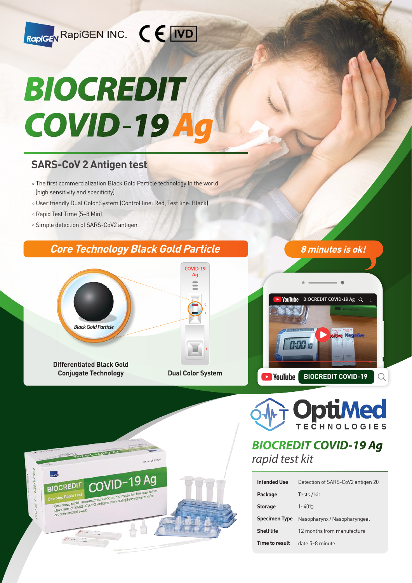

# BIOCREDIT  $COVID-19A$

## **SARS-CoV 2 Antigen test**

- » The first commercialization Black Gold Particle technology In the world (high sensitivity and specificity)
- » User friendly Dual Color System (Control line: Red, Test line: Black)
- » Rapid Test Time (5~8 Min)
- » Simple detection of SARS-CoV2 antigen

**DVI BL GIVES** 

**BIOCREDIT** 

One step, rapid, immun<br>detection of SARS-Cover<br>oropharyngeal swab

COVID-

## **Core Technology Black Gold Particle 8 minutes is ok!**







## **BIOCREDIT COVID-19 Ag**  rapid test kit

| <b>Intended Use</b>  | Detection of SARS-CoV2 antigen 20 |
|----------------------|-----------------------------------|
| Package              | Tests / kit                       |
| <b>Storage</b>       | $1 - 40^\circ$ C                  |
| <b>Specimen Type</b> | Nasopharynx / Nasopharyngeal      |
| <b>Shelf life</b>    | 12 months from manufacture        |
| Time to result       | $date 5~8$ minute                 |